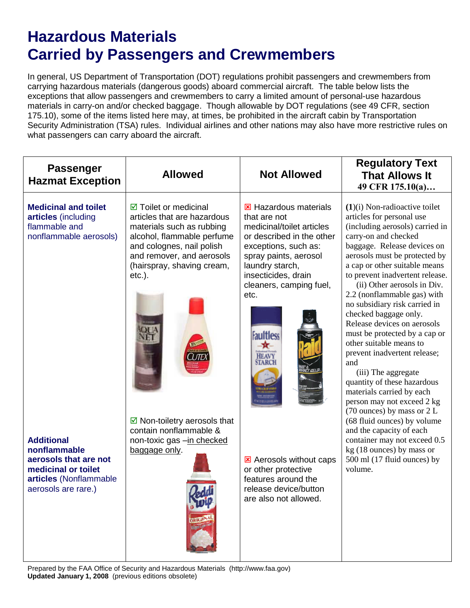## **Hazardous Materials Carried by Passengers and Crewmembers**

In general, US Department of Transportation (DOT) regulations prohibit passengers and crewmembers from carrying hazardous materials (dangerous goods) aboard commercial aircraft. The table below lists the exceptions that allow passengers and crewmembers to carry a limited amount of personal-use hazardous materials in carry-on and/or checked baggage. Though allowable by DOT regulations (see 49 CFR, section 175.10), some of the items listed here may, at times, be prohibited in the aircraft cabin by Transportation Security Administration (TSA) rules. Individual airlines and other nations may also have more restrictive rules on what passengers can carry aboard the aircraft.

| <b>Passenger</b><br><b>Hazmat Exception</b>                                                                                        | <b>Allowed</b>                                                                                                                                                                                                                 | <b>Not Allowed</b>                                                                                                                                                                                                                                       | <b>Regulatory Text</b><br><b>That Allows It</b><br>49 CFR 175.10(a)                                                                                                                                                                                                                                                                                                                                                                                                                                                                                                                                                                                                      |
|------------------------------------------------------------------------------------------------------------------------------------|--------------------------------------------------------------------------------------------------------------------------------------------------------------------------------------------------------------------------------|----------------------------------------------------------------------------------------------------------------------------------------------------------------------------------------------------------------------------------------------------------|--------------------------------------------------------------------------------------------------------------------------------------------------------------------------------------------------------------------------------------------------------------------------------------------------------------------------------------------------------------------------------------------------------------------------------------------------------------------------------------------------------------------------------------------------------------------------------------------------------------------------------------------------------------------------|
| <b>Medicinal and toilet</b><br>articles (including<br>flammable and<br>nonflammable aerosols)                                      | $\boxtimes$ Toilet or medicinal<br>articles that are hazardous<br>materials such as rubbing<br>alcohol, flammable perfume<br>and colognes, nail polish<br>and remover, and aerosols<br>(hairspray, shaving cream,<br>$etc.$ ). | <b>E</b> Hazardous materials<br>that are not<br>medicinal/toilet articles<br>or described in the other<br>exceptions, such as:<br>spray paints, aerosol<br>laundry starch,<br>insecticides, drain<br>cleaners, camping fuel,<br>etc.<br><b>Faultless</b> | $(1)(i)$ Non-radioactive toilet<br>articles for personal use<br>(including aerosols) carried in<br>carry-on and checked<br>baggage. Release devices on<br>aerosols must be protected by<br>a cap or other suitable means<br>to prevent inadvertent release.<br>(ii) Other aerosols in Div.<br>2.2 (nonflammable gas) with<br>no subsidiary risk carried in<br>checked baggage only.<br>Release devices on aerosols<br>must be protected by a cap or<br>other suitable means to<br>prevent inadvertent release;<br>and<br>(iii) The aggregate<br>quantity of these hazardous<br>materials carried by each<br>person may not exceed 2 kg<br>$(70$ ounces) by mass or $2 L$ |
| <b>Additional</b><br>nonflammable<br>aerosols that are not<br>medicinal or toilet<br>articles (Nonflammable<br>aerosols are rare.) | $\triangleright$ Non-toiletry aerosols that<br>contain nonflammable &<br>non-toxic gas -in checked<br>baggage only.<br><b>THE JA</b>                                                                                           | <b>E</b> Aerosols without caps<br>or other protective<br>features around the<br>release device/button<br>are also not allowed.                                                                                                                           | (68 fluid ounces) by volume<br>and the capacity of each<br>container may not exceed 0.5<br>kg (18 ounces) by mass or<br>500 ml (17 fluid ounces) by<br>volume.                                                                                                                                                                                                                                                                                                                                                                                                                                                                                                           |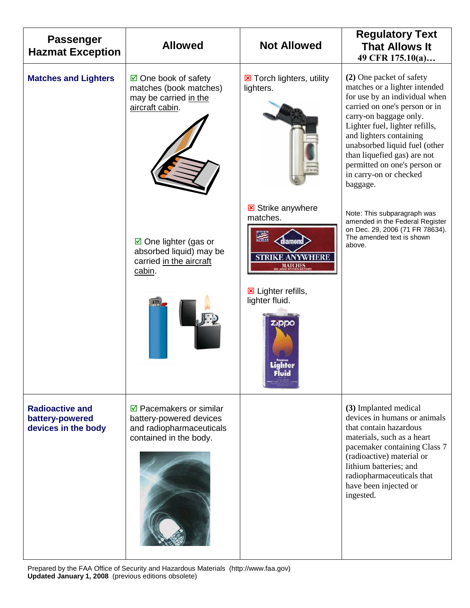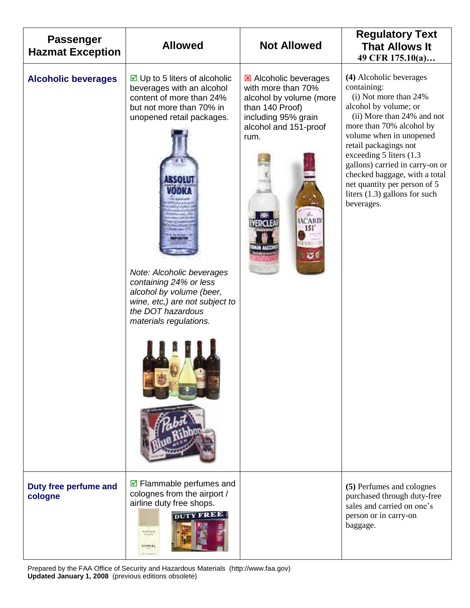| <b>Passenger</b><br><b>Hazmat Exception</b> | <b>Allowed</b>                                                                                                                                                                                                                                                                                                                                      | <b>Not Allowed</b>                                                                                                                                       | <b>Regulatory Text</b><br><b>That Allows It</b><br>49 CFR 175.10(a)                                                                                                                                                                                                                                                                                                                     |
|---------------------------------------------|-----------------------------------------------------------------------------------------------------------------------------------------------------------------------------------------------------------------------------------------------------------------------------------------------------------------------------------------------------|----------------------------------------------------------------------------------------------------------------------------------------------------------|-----------------------------------------------------------------------------------------------------------------------------------------------------------------------------------------------------------------------------------------------------------------------------------------------------------------------------------------------------------------------------------------|
| <b>Alcoholic beverages</b>                  | $\boxdot$ Up to 5 liters of alcoholic<br>beverages with an alcohol<br>content of more than 24%<br>but not more than 70% in<br>unopened retail packages.<br>2.5.5.13.11<br>tanan<br>Note: Alcoholic beverages<br>containing 24% or less<br>alcohol by volume (beer,<br>wine, etc,) are not subject to<br>the DOT hazardous<br>materials regulations. | <b>E</b> Alcoholic beverages<br>with more than 70%<br>alcohol by volume (more<br>than 140 Proof)<br>including 95% grain<br>alcohol and 151-proof<br>rum. | (4) Alcoholic beverages<br>containing:<br>(i) Not more than 24%<br>alcohol by volume; or<br>(ii) More than 24% and not<br>more than 70% alcohol by<br>volume when in unopened<br>retail packagings not<br>exceeding 5 liters (1.3)<br>gallons) carried in carry-on or<br>checked baggage, with a total<br>net quantity per person of 5<br>liters $(1.3)$ gallons for such<br>beverages. |
| Duty free perfume and<br>cologne            | $\boxdot$ Flammable perfumes and<br>colognes from the airport /<br>airline duty free shops.<br><b>DUTY FREE</b><br>PLATINUM<br>CHANEL                                                                                                                                                                                                               |                                                                                                                                                          | (5) Perfumes and colognes<br>purchased through duty-free<br>sales and carried on one's<br>person or in carry-on<br>baggage.                                                                                                                                                                                                                                                             |

Prepared by the FAA Office of Security and Hazardous Materials (http://www.faa.gov) **Updated January 1, 2008** (previous editions obsolete)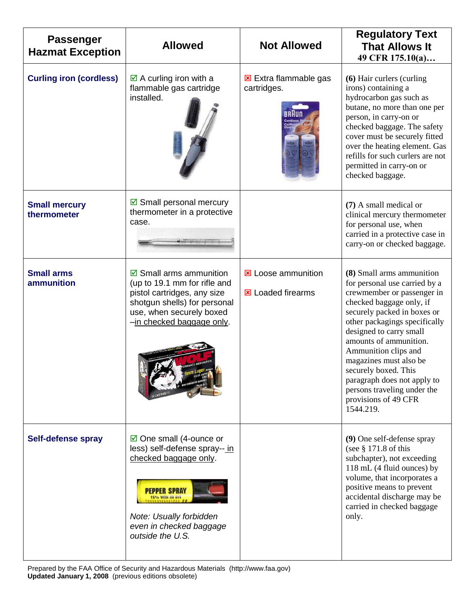| <b>Passenger</b><br><b>Hazmat Exception</b> | <b>Allowed</b>                                                                                                                                                                                                  | <b>Not Allowed</b>                                    | <b>Regulatory Text</b><br><b>That Allows It</b><br>49 CFR 175.10(a)                                                                                                                                                                                                                                                                                                                                                    |
|---------------------------------------------|-----------------------------------------------------------------------------------------------------------------------------------------------------------------------------------------------------------------|-------------------------------------------------------|------------------------------------------------------------------------------------------------------------------------------------------------------------------------------------------------------------------------------------------------------------------------------------------------------------------------------------------------------------------------------------------------------------------------|
| <b>Curling iron (cordless)</b>              | $\boxtimes$ A curling iron with a<br>flammable gas cartridge<br>installed.                                                                                                                                      | Extra flammable gas<br>cartridges.                    | (6) Hair curlers (curling<br>irons) containing a<br>hydrocarbon gas such as<br>butane, no more than one per<br>person, in carry-on or<br>checked baggage. The safety<br>cover must be securely fitted<br>over the heating element. Gas<br>refills for such curlers are not<br>permitted in carry-on or<br>checked baggage.                                                                                             |
| <b>Small mercury</b><br>thermometer         | $\boxdot$ Small personal mercury<br>thermometer in a protective<br>case.                                                                                                                                        |                                                       | (7) A small medical or<br>clinical mercury thermometer<br>for personal use, when<br>carried in a protective case in<br>carry-on or checked baggage.                                                                                                                                                                                                                                                                    |
| <b>Small arms</b><br>ammunition             | $\boxdot$ Small arms ammunition<br>(up to 19.1 mm for rifle and<br>pistol cartridges, any size<br>shotgun shells) for personal<br>use, when securely boxed<br>-in checked baggage only.                         | <b>E</b> Loose ammunition<br><b>E</b> Loaded firearms | (8) Small arms ammunition<br>for personal use carried by a<br>crewmember or passenger in<br>checked baggage only, if<br>securely packed in boxes or<br>other packagings specifically<br>designed to carry small<br>amounts of ammunition.<br>Ammunition clips and<br>magazines must also be<br>securely boxed. This<br>paragraph does not apply to<br>persons traveling under the<br>provisions of 49 CFR<br>1544.219. |
| Self-defense spray                          | $\boxtimes$ One small (4-ounce or<br>less) self-defense spray-- in<br>checked baggage only.<br><b>PEPPER SPRAY</b><br>15% WITH OU DIA<br>Note: Usually forbidden<br>even in checked baggage<br>outside the U.S. |                                                       | (9) One self-defense spray<br>(see $§$ 171.8 of this<br>subchapter), not exceeding<br>118 mL (4 fluid ounces) by<br>volume, that incorporates a<br>positive means to prevent<br>accidental discharge may be<br>carried in checked baggage<br>only.                                                                                                                                                                     |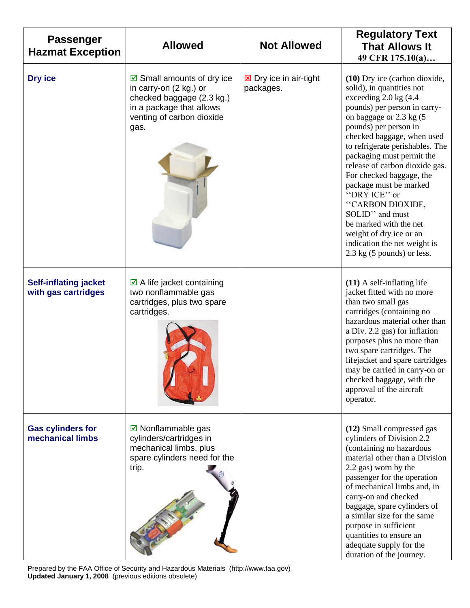| <b>Passenger</b><br><b>Hazmat Exception</b>         | <b>Allowed</b>                                                                                                                                               | <b>Not Allowed</b>                         | <b>Regulatory Text</b><br><b>That Allows It</b><br>49 CFR 175.10(a)                                                                                                                                                                                                                                                                                                                                                                                                                                                                        |
|-----------------------------------------------------|--------------------------------------------------------------------------------------------------------------------------------------------------------------|--------------------------------------------|--------------------------------------------------------------------------------------------------------------------------------------------------------------------------------------------------------------------------------------------------------------------------------------------------------------------------------------------------------------------------------------------------------------------------------------------------------------------------------------------------------------------------------------------|
| Dry ice                                             | $\boxtimes$ Small amounts of dry ice<br>in carry-on (2 kg.) or<br>checked baggage (2.3 kg.)<br>in a package that allows<br>venting of carbon dioxide<br>gas. | <b>E</b> Dry ice in air-tight<br>packages. | (10) Dry ice (carbon dioxide,<br>solid), in quantities not<br>exceeding 2.0 kg (4.4<br>pounds) per person in carry-<br>on baggage or 2.3 kg (5)<br>pounds) per person in<br>checked baggage, when used<br>to refrigerate perishables. The<br>packaging must permit the<br>release of carbon dioxide gas.<br>For checked baggage, the<br>package must be marked<br>"DRY ICE" or<br>"CARBON DIOXIDE,<br>SOLID" and must<br>be marked with the net<br>weight of dry ice or an<br>indication the net weight is<br>$2.3$ kg (5 pounds) or less. |
| <b>Self-inflating jacket</b><br>with gas cartridges | $\boxtimes$ A life jacket containing<br>two nonflammable gas<br>cartridges, plus two spare<br>cartridges.                                                    |                                            | $(11)$ A self-inflating life<br>jacket fitted with no more<br>than two small gas<br>cartridges (containing no<br>hazardous material other than<br>a Div. 2.2 gas) for inflation<br>purposes plus no more than<br>two spare cartridges. The<br>lifejacket and spare cartridges<br>may be carried in carry-on or<br>checked baggage, with the<br>approval of the aircraft<br>operator.                                                                                                                                                       |
| <b>Gas cylinders for</b><br>mechanical limbs        | $\boxdot$ Nonflammable gas<br>cylinders/cartridges in<br>mechanical limbs, plus<br>spare cylinders need for the<br>trip.                                     |                                            | (12) Small compressed gas<br>cylinders of Division 2.2<br>(containing no hazardous<br>material other than a Division<br>2.2 gas) worn by the<br>passenger for the operation<br>of mechanical limbs and, in<br>carry-on and checked<br>baggage, spare cylinders of<br>a similar size for the same<br>purpose in sufficient<br>quantities to ensure an<br>adequate supply for the<br>duration of the journey.                                                                                                                                |

Prepared by the FAA Office of Security and Hazardous Materials (http://www.faa.gov) **Updated January 1, 2008** (previous editions obsolete)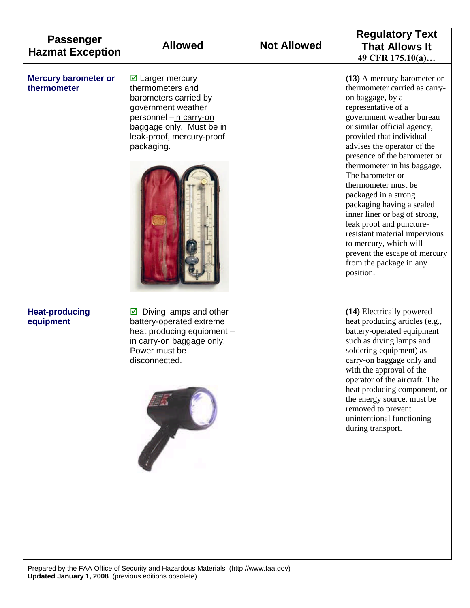| <b>Passenger</b><br><b>Hazmat Exception</b> | <b>Allowed</b>                                                                                                                                                                                 | <b>Not Allowed</b> | <b>Regulatory Text</b><br><b>That Allows It</b><br>49 CFR 175.10(a)                                                                                                                                                                                                                                                                                                                                                                                                                                                                                                                            |
|---------------------------------------------|------------------------------------------------------------------------------------------------------------------------------------------------------------------------------------------------|--------------------|------------------------------------------------------------------------------------------------------------------------------------------------------------------------------------------------------------------------------------------------------------------------------------------------------------------------------------------------------------------------------------------------------------------------------------------------------------------------------------------------------------------------------------------------------------------------------------------------|
| <b>Mercury barometer or</b><br>thermometer  | $\boxtimes$ Larger mercury<br>thermometers and<br>barometers carried by<br>government weather<br>personnel -in carry-on<br>baggage only. Must be in<br>leak-proof, mercury-proof<br>packaging. |                    | (13) A mercury barometer or<br>thermometer carried as carry-<br>on baggage, by a<br>representative of a<br>government weather bureau<br>or similar official agency,<br>provided that individual<br>advises the operator of the<br>presence of the barometer or<br>thermometer in his baggage.<br>The barometer or<br>thermometer must be<br>packaged in a strong<br>packaging having a sealed<br>inner liner or bag of strong,<br>leak proof and puncture-<br>resistant material impervious<br>to mercury, which will<br>prevent the escape of mercury<br>from the package in any<br>position. |
| <b>Heat-producing</b><br>equipment          | Diving lamps and other<br>☑<br>battery-operated extreme<br>heat producing equipment -<br>in carry-on baggage only.<br>Power must be<br>disconnected.                                           |                    | (14) Electrically powered<br>heat producing articles (e.g.,<br>battery-operated equipment<br>such as diving lamps and<br>soldering equipment) as<br>carry-on baggage only and<br>with the approval of the<br>operator of the aircraft. The<br>heat producing component, or<br>the energy source, must be<br>removed to prevent<br>unintentional functioning<br>during transport.                                                                                                                                                                                                               |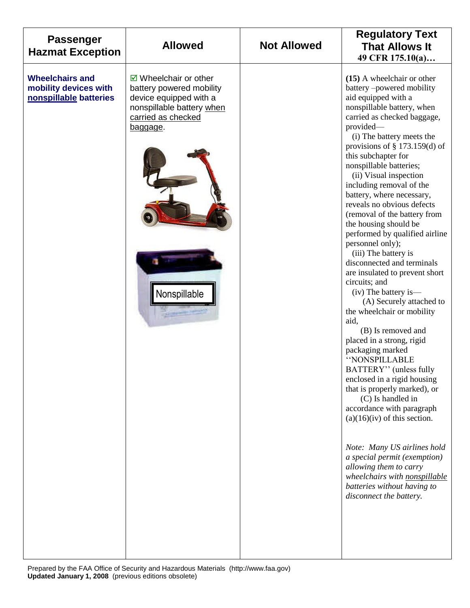| <b>Passenger</b><br><b>Hazmat Exception</b>                               | <b>Allowed</b>                                                                                                                                                       | <b>Not Allowed</b> | <b>Regulatory Text</b><br><b>That Allows It</b><br>49 CFR 175.10(a)                                                                                                                                                                                                                                                                                                                                                                                                                                                                                                                                                                                                                                                                                                                                                                                                                                                                                                                                                                                                                                                                                                    |
|---------------------------------------------------------------------------|----------------------------------------------------------------------------------------------------------------------------------------------------------------------|--------------------|------------------------------------------------------------------------------------------------------------------------------------------------------------------------------------------------------------------------------------------------------------------------------------------------------------------------------------------------------------------------------------------------------------------------------------------------------------------------------------------------------------------------------------------------------------------------------------------------------------------------------------------------------------------------------------------------------------------------------------------------------------------------------------------------------------------------------------------------------------------------------------------------------------------------------------------------------------------------------------------------------------------------------------------------------------------------------------------------------------------------------------------------------------------------|
| <b>Wheelchairs and</b><br>mobility devices with<br>nonspillable batteries | $\boxtimes$ Wheelchair or other<br>battery powered mobility<br>device equipped with a<br>nonspillable battery when<br>carried as checked<br>baggage.<br>Nonspillable |                    | (15) A wheelchair or other<br>battery-powered mobility<br>aid equipped with a<br>nonspillable battery, when<br>carried as checked baggage,<br>provided-<br>(i) The battery meets the<br>provisions of $\S$ 173.159(d) of<br>this subchapter for<br>nonspillable batteries;<br>(ii) Visual inspection<br>including removal of the<br>battery, where necessary,<br>reveals no obvious defects<br>(removal of the battery from<br>the housing should be<br>performed by qualified airline<br>personnel only);<br>(iii) The battery is<br>disconnected and terminals<br>are insulated to prevent short<br>circuits; and<br>(iv) The battery is—<br>(A) Securely attached to<br>the wheelchair or mobility<br>aid,<br>(B) Is removed and<br>placed in a strong, rigid<br>packaging marked<br>"NONSPILLABLE<br>BATTERY" (unless fully<br>enclosed in a rigid housing<br>that is properly marked), or<br>(C) Is handled in<br>accordance with paragraph<br>$(a)(16)(iv)$ of this section.<br>Note: Many US airlines hold<br>a special permit (exemption)<br>allowing them to carry<br>wheelchairs with nonspillable<br>batteries without having to<br>disconnect the battery. |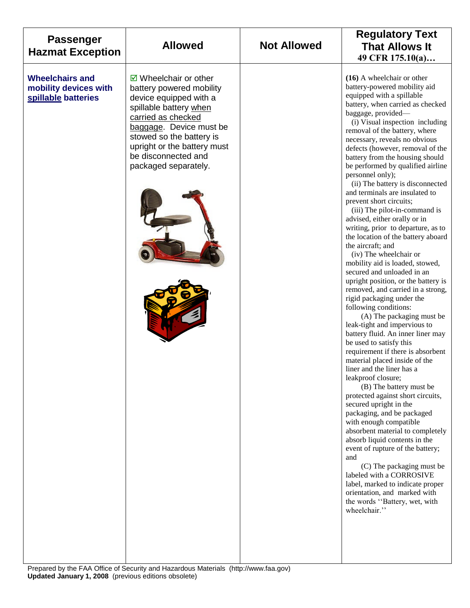| <b>Passenger</b><br><b>Hazmat Exception</b>                            | <b>Allowed</b>                                                                                                                                                                                                                                                           | <b>Not Allowed</b> | <b>Regulatory Text</b><br><b>That Allows It</b><br>49 CFR 175.10(a)                                                                                                                                                                                                                                                                                                                                                                                                                                                                                                                                                                                                                                                                                                                                                                                                                                                                                                                                                                                                                                                                                                                                                                                                                                                                                                                                                                                                                                                                                                                            |
|------------------------------------------------------------------------|--------------------------------------------------------------------------------------------------------------------------------------------------------------------------------------------------------------------------------------------------------------------------|--------------------|------------------------------------------------------------------------------------------------------------------------------------------------------------------------------------------------------------------------------------------------------------------------------------------------------------------------------------------------------------------------------------------------------------------------------------------------------------------------------------------------------------------------------------------------------------------------------------------------------------------------------------------------------------------------------------------------------------------------------------------------------------------------------------------------------------------------------------------------------------------------------------------------------------------------------------------------------------------------------------------------------------------------------------------------------------------------------------------------------------------------------------------------------------------------------------------------------------------------------------------------------------------------------------------------------------------------------------------------------------------------------------------------------------------------------------------------------------------------------------------------------------------------------------------------------------------------------------------------|
| <b>Wheelchairs and</b><br>mobility devices with<br>spillable batteries | $\boxdot$ Wheelchair or other<br>battery powered mobility<br>device equipped with a<br>spillable battery when<br>carried as checked<br>baggage. Device must be<br>stowed so the battery is<br>upright or the battery must<br>be disconnected and<br>packaged separately. |                    | $(16)$ A wheelchair or other<br>battery-powered mobility aid<br>equipped with a spillable<br>battery, when carried as checked<br>baggage, provided-<br>(i) Visual inspection including<br>removal of the battery, where<br>necessary, reveals no obvious<br>defects (however, removal of the<br>battery from the housing should<br>be performed by qualified airline<br>personnel only);<br>(ii) The battery is disconnected<br>and terminals are insulated to<br>prevent short circuits;<br>(iii) The pilot-in-command is<br>advised, either orally or in<br>writing, prior to departure, as to<br>the location of the battery aboard<br>the aircraft; and<br>(iv) The wheelchair or<br>mobility aid is loaded, stowed,<br>secured and unloaded in an<br>upright position, or the battery is<br>removed, and carried in a strong,<br>rigid packaging under the<br>following conditions:<br>(A) The packaging must be<br>leak-tight and impervious to<br>battery fluid. An inner liner may<br>be used to satisfy this<br>requirement if there is absorbent<br>material placed inside of the<br>liner and the liner has a<br>leakproof closure;<br>(B) The battery must be<br>protected against short circuits,<br>secured upright in the<br>packaging, and be packaged<br>with enough compatible<br>absorbent material to completely<br>absorb liquid contents in the<br>event of rupture of the battery;<br>and<br>(C) The packaging must be<br>labeled with a CORROSIVE<br>label, marked to indicate proper<br>orientation, and marked with<br>the words "Battery, wet, with<br>wheelchair." |